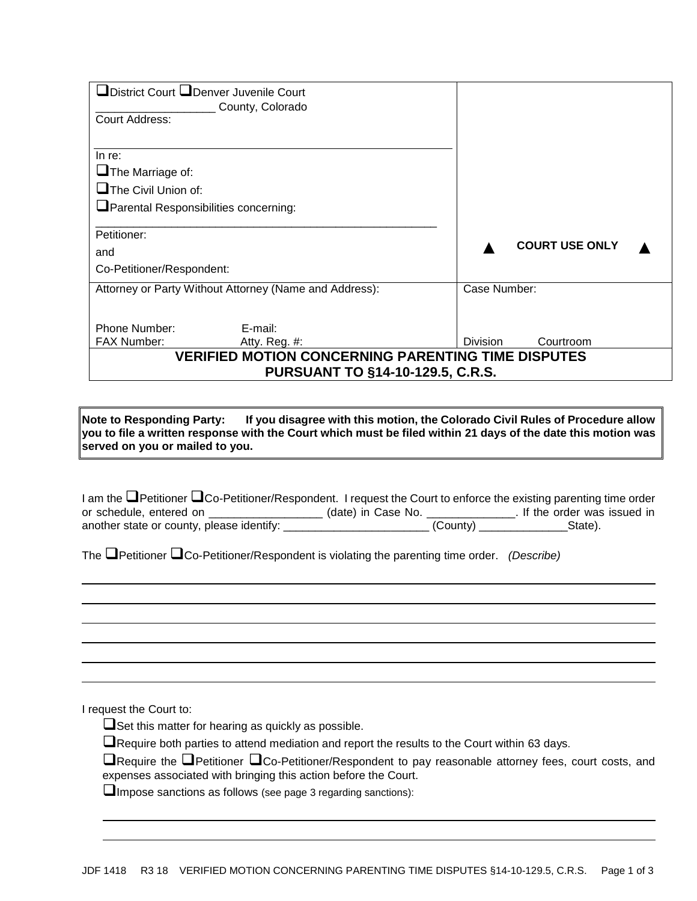| □District Court □Denver Juvenile Court |                                                           |                 |                       |
|----------------------------------------|-----------------------------------------------------------|-----------------|-----------------------|
|                                        | County, Colorado                                          |                 |                       |
| Court Address:                         |                                                           |                 |                       |
|                                        |                                                           |                 |                       |
| In re:                                 |                                                           |                 |                       |
| $\Box$ The Marriage of:                |                                                           |                 |                       |
| $\Box$ The Civil Union of:             |                                                           |                 |                       |
| Parental Responsibilities concerning:  |                                                           |                 |                       |
| Petitioner:                            |                                                           |                 |                       |
|                                        |                                                           |                 | <b>COURT USE ONLY</b> |
| and                                    |                                                           |                 |                       |
| Co-Petitioner/Respondent:              |                                                           |                 |                       |
|                                        | Attorney or Party Without Attorney (Name and Address):    |                 | Case Number:          |
|                                        |                                                           |                 |                       |
| Phone Number:                          | E-mail:                                                   |                 |                       |
| <b>FAX Number:</b>                     | Atty. Reg. #:                                             | <b>Division</b> | Courtroom             |
|                                        | <b>VERIFIED MOTION CONCERNING PARENTING TIME DISPUTES</b> |                 |                       |
|                                        | <b>PURSUANT TO §14-10-129.5, C.R.S.</b>                   |                 |                       |

**Note to Responding Party: If you disagree with this motion, the Colorado Civil Rules of Procedure allow you to file a written response with the Court which must be filed within 21 days of the date this motion was served on you or mailed to you.**

| I am the $\Box$ Petitioner $\Box$ Co-Petitioner/Respondent. I request the Court to enforce the existing parenting time order |                    |                              |
|------------------------------------------------------------------------------------------------------------------------------|--------------------|------------------------------|
| or schedule, entered on                                                                                                      | (date) in Case No. | . If the order was issued in |
| another state or county, please identify: _                                                                                  | (County)           | State).                      |

The **Petitioner Co-Petitioner/Respondent is violating the parenting time order.** *(Describe)* 

I request the Court to:

 $\Box$  Set this matter for hearing as quickly as possible.

Require both parties to attend mediation and report the results to the Court within 63 days.

■Require the ■Petitioner ■Co-Petitioner/Respondent to pay reasonable attorney fees, court costs, and expenses associated with bringing this action before the Court.

 $\square$  Impose sanctions as follows (see page 3 regarding sanctions):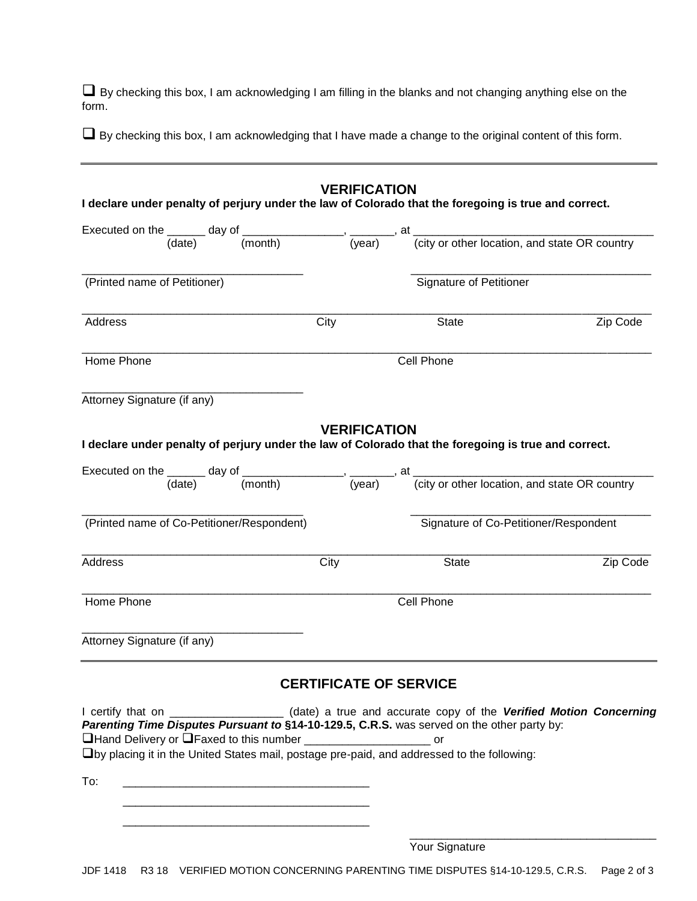$\Box$  By checking this box, I am acknowledging I am filling in the blanks and not changing anything else on the form.

By checking this box, I am acknowledging that I have made a change to the original content of this form.

| Executed on the $\frac{1}{(date)}$ day of $\frac{1}{(month)}$ , $\frac{1}{(year)}$ , at $\frac{1}{(city \text{ or other location, and state OR country)}}$<br>Signature of Petitioner<br><b>State</b><br>Zip Code<br>Cell Phone<br><b>VERIFICATION</b><br>I declare under penalty of perjury under the law of Colorado that the foregoing is true and correct.<br>Executed on the $\frac{d}{d}$ day of $\frac{d}{d}$ (month) $\frac{d}{d}$ , at $\frac{d}{d}$ (city or other location, and state OR country<br>Signature of Co-Petitioner/Respondent |
|------------------------------------------------------------------------------------------------------------------------------------------------------------------------------------------------------------------------------------------------------------------------------------------------------------------------------------------------------------------------------------------------------------------------------------------------------------------------------------------------------------------------------------------------------|
|                                                                                                                                                                                                                                                                                                                                                                                                                                                                                                                                                      |
|                                                                                                                                                                                                                                                                                                                                                                                                                                                                                                                                                      |
|                                                                                                                                                                                                                                                                                                                                                                                                                                                                                                                                                      |
|                                                                                                                                                                                                                                                                                                                                                                                                                                                                                                                                                      |
|                                                                                                                                                                                                                                                                                                                                                                                                                                                                                                                                                      |
|                                                                                                                                                                                                                                                                                                                                                                                                                                                                                                                                                      |
|                                                                                                                                                                                                                                                                                                                                                                                                                                                                                                                                                      |
|                                                                                                                                                                                                                                                                                                                                                                                                                                                                                                                                                      |
|                                                                                                                                                                                                                                                                                                                                                                                                                                                                                                                                                      |
| <b>State</b><br>Zip Code                                                                                                                                                                                                                                                                                                                                                                                                                                                                                                                             |
| Cell Phone                                                                                                                                                                                                                                                                                                                                                                                                                                                                                                                                           |
|                                                                                                                                                                                                                                                                                                                                                                                                                                                                                                                                                      |
| <b>CERTIFICATE OF SERVICE</b>                                                                                                                                                                                                                                                                                                                                                                                                                                                                                                                        |
| I certify that on _____________________(date) a true and accurate copy of the Verified Motion Concerning<br>Parenting Time Disputes Pursuant to §14-10-129.5, C.R.S. was served on the other party by:                                                                                                                                                                                                                                                                                                                                               |
| □Hand Delivery or □Faxed to this number _________________________ or<br>$\Box$ by placing it in the United States mail, postage pre-paid, and addressed to the following:                                                                                                                                                                                                                                                                                                                                                                            |
|                                                                                                                                                                                                                                                                                                                                                                                                                                                                                                                                                      |
|                                                                                                                                                                                                                                                                                                                                                                                                                                                                                                                                                      |
|                                                                                                                                                                                                                                                                                                                                                                                                                                                                                                                                                      |
|                                                                                                                                                                                                                                                                                                                                                                                                                                                                                                                                                      |
|                                                                                                                                                                                                                                                                                                                                                                                                                                                                                                                                                      |